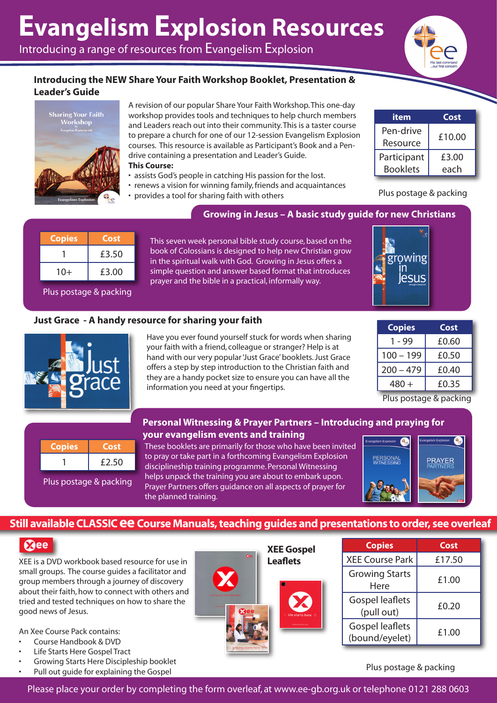# **Evangelism Explosion Resources**

Introducing a range of resources from Evangelism Explosion



#### **Introducing the NEW Share Your Faith Workshop Booklet, Presentation & Leader's Guide**



A revision of our popular Share Your Faith Workshop. This one-day workshop provides tools and techniques to help church members and Leaders reach out into their community. This is a taster course to prepare a church for one of our 12-session Evangelism Explosion courses. This resource is available as Participant's Book and a Pendrive containing a presentation and Leader's Guide. **This Course:**

- assists God's people in catching His passion for the lost.
- renews a vision for winning family, friends and acquaintances
- provides a tool for sharing faith with others

| item            | Cost   |  |
|-----------------|--------|--|
| Pen-drive       | £10.00 |  |
| Resource        |        |  |
| Participant     | £3.00  |  |
| <b>Booklets</b> | each   |  |

Plus postage & packing

owing

**ASIIS** 

#### **Growing in Jesus – A basic study guide for new Christians**

| <b>Copies</b> | Cost  |
|---------------|-------|
|               | £3.50 |
| $10+$         | £3.00 |

This seven week personal bible study course, based on the book of Colossians is designed to help new Christian grow in the spiritual walk with God. Growing in Jesus offers a simple question and answer based format that introduces prayer and the bible in a practical, informally way.

#### Plus postage & packing

#### **Just Grace - A handy resource for sharing your faith**



Have you ever found yourself stuck for words when sharing your faith with a friend, colleague or stranger? Help is at hand with our very popular 'Just Grace' booklets. Just Grace offers a step by step introduction to the Christian faith and they are a handy pocket size to ensure you can have all the information you need at your fingertips.

| <b>Copies</b> | Cost  |
|---------------|-------|
| 1 - 99        | £0.60 |
| $100 - 199$   | £0.50 |
| $200 - 479$   | £0.40 |
| 480 +         | £0.35 |

Plus postage & packing

| <b>Copies</b> | Cost  |
|---------------|-------|
|               | £2.50 |

Plus postage & packing

#### **Personal Witnessing & Prayer Partners – Introducing and praying for your evangelism events and training**

These booklets are primarily for those who have been invited to pray or take part in a forthcoming Evangelism Explosion disciplineship training programme. Personal Witnessing helps unpack the training you are about to embark upon. Prayer Partners offers guidance on all aspects of prayer for the planned training.



### **Still available CLASSIC ee Course Manuals, teaching guides and presentations to order, see overleaf**

#### $\Omega$ ee

XEE is a DVD workbook based resource for use in small groups. The course guides a facilitator and group members through a journey of discovery about their faith, how to connect with others and tried and tested techniques on how to share the good news of Jesus.

An Xee Course Pack contains:

- Course Handbook & DVD
- **Life Starts Here Gospel Tract**
- Growing Starts Here Discipleship booklet
- Pull out quide for explaining the Gospel



| <b>Copies</b>                            | Cost   |  |
|------------------------------------------|--------|--|
| <b>XEE Course Park</b>                   | £17.50 |  |
| <b>Growing Starts</b><br>Here            | £1.00  |  |
| <b>Gospel leaflets</b><br>(pull out)     | £0.20  |  |
| <b>Gospel leaflets</b><br>(bound/eyelet) | £1.00  |  |

Plus postage & packing

Please place your order by completing the form overleaf, at www.ee-gb.org.uk or telephone 0121 288 0603